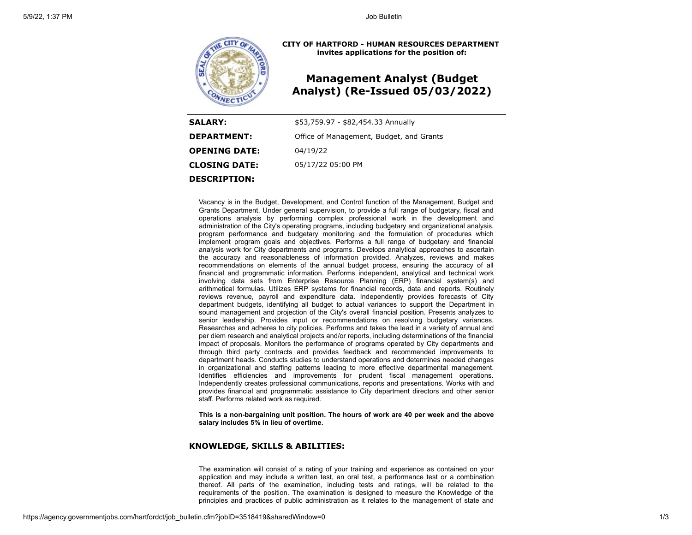

**CITY OF HARTFORD - HUMAN RESOURCES DEPARTMENT invites applications for the position of:**

# **Management Analyst (Budget Analyst) (Re-Issued 05/03/2022)**

| <b>SALARY:</b>       | \$53,759.97 - \$82,454.33 Annually       |
|----------------------|------------------------------------------|
| <b>DEPARTMENT:</b>   | Office of Management, Budget, and Grants |
| <b>OPENING DATE:</b> | 04/19/22                                 |
| <b>CLOSING DATE:</b> | 05/17/22 05:00 PM                        |
| <b>DESCRIPTION:</b>  |                                          |

Vacancy is in the Budget, Development, and Control function of the Management, Budget and Grants Department. Under general supervision, to provide a full range of budgetary, fiscal and operations analysis by performing complex professional work in the development and administration of the City's operating programs, including budgetary and organizational analysis, program performance and budgetary monitoring and the formulation of procedures which implement program goals and objectives. Performs a full range of budgetary and financial analysis work for City departments and programs. Develops analytical approaches to ascertain the accuracy and reasonableness of information provided. Analyzes, reviews and makes recommendations on elements of the annual budget process, ensuring the accuracy of all financial and programmatic information. Performs independent, analytical and technical work involving data sets from Enterprise Resource Planning (ERP) financial system(s) and arithmetical formulas. Utilizes ERP systems for financial records, data and reports. Routinely reviews revenue, payroll and expenditure data. Independently provides forecasts of City department budgets, identifying all budget to actual variances to support the Department in sound management and projection of the City's overall financial position. Presents analyzes to senior leadership. Provides input or recommendations on resolving budgetary variances. Researches and adheres to city policies. Performs and takes the lead in a variety of annual and per diem research and analytical projects and/or reports, including determinations of the financial impact of proposals. Monitors the performance of programs operated by City departments and through third party contracts and provides feedback and recommended improvements to department heads. Conducts studies to understand operations and determines needed changes in organizational and staffing patterns leading to more effective departmental management. Identifies efficiencies and improvements for prudent fiscal management operations. Independently creates professional communications, reports and presentations. Works with and provides financial and programmatic assistance to City department directors and other senior staff. Performs related work as required.

**This is a non-bargaining unit position. The hours of work are 40 per week and the above salary includes 5% in lieu of overtime.**

## **KNOWLEDGE, SKILLS & ABILITIES:**

The examination will consist of a rating of your training and experience as contained on your application and may include a written test, an oral test, a performance test or a combination thereof. All parts of the examination, including tests and ratings, will be related to the requirements of the position. The examination is designed to measure the Knowledge of the principles and practices of public administration as it relates to the management of state and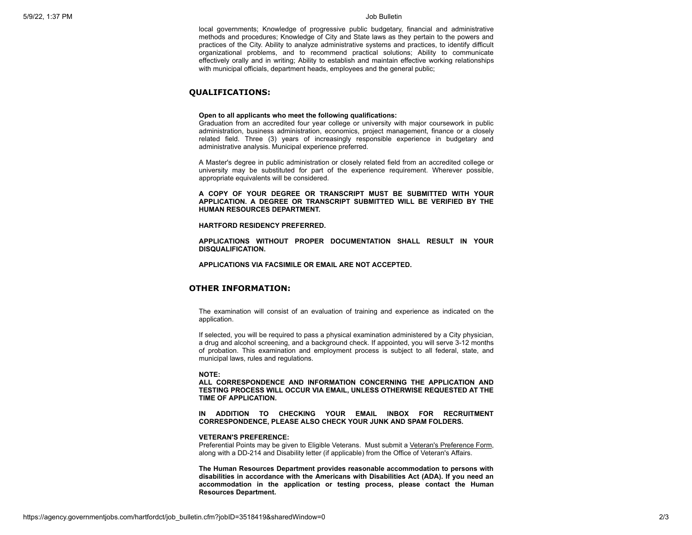local governments; Knowledge of progressive public budgetary, financial and administrative methods and procedures; Knowledge of City and State laws as they pertain to the powers and practices of the City. Ability to analyze administrative systems and practices, to identify difficult organizational problems, and to recommend practical solutions; Ability to communicate effectively orally and in writing; Ability to establish and maintain effective working relationships with municipal officials, department heads, employees and the general public;

## **QUALIFICATIONS:**

## **Open to all applicants who meet the following qualifications:**

Graduation from an accredited four year college or university with major coursework in public administration, business administration, economics, project management, finance or a closely related field. Three (3) years of increasingly responsible experience in budgetary and administrative analysis. Municipal experience preferred.

A Master's degree in public administration or closely related field from an accredited college or university may be substituted for part of the experience requirement. Wherever possible, appropriate equivalents will be considered.

**A COPY OF YOUR DEGREE OR TRANSCRIPT MUST BE SUBMITTED WITH YOUR APPLICATION. A DEGREE OR TRANSCRIPT SUBMITTED WILL BE VERIFIED BY THE HUMAN RESOURCES DEPARTMENT.**

#### **HARTFORD RESIDENCY PREFERRED.**

**APPLICATIONS WITHOUT PROPER DOCUMENTATION SHALL RESULT IN YOUR DISQUALIFICATION.**

**APPLICATIONS VIA FACSIMILE OR EMAIL ARE NOT ACCEPTED.**

## **OTHER INFORMATION:**

The examination will consist of an evaluation of training and experience as indicated on the application.

If selected, you will be required to pass a physical examination administered by a City physician, a drug and alcohol screening, and a background check. If appointed, you will serve 3-12 months of probation. This examination and employment process is subject to all federal, state, and municipal laws, rules and regulations.

## **NOTE:**

**ALL CORRESPONDENCE AND INFORMATION CONCERNING THE APPLICATION AND TESTING PROCESS WILL OCCUR VIA EMAIL, UNLESS OTHERWISE REQUESTED AT THE TIME OF APPLICATION.**

**IN ADDITION TO CHECKING YOUR EMAIL INBOX FOR RECRUITMENT CORRESPONDENCE, PLEASE ALSO CHECK YOUR JUNK AND SPAM FOLDERS.**

#### **VETERAN'S PREFERENCE:**

Preferential Points may be given to Eligible Veterans. Must submit a [Veteran's Preference Form,](http://www.hartford.gov/images/hr/Application_forms/VETERANS%20PREFERENCE%20FORM.PDF) along with a DD-214 and Disability letter (if applicable) from the Office of Veteran's Affairs.

**The Human Resources Department provides reasonable accommodation to persons with disabilities in accordance with the Americans with Disabilities Act (ADA). If you need an accommodation in the application or testing process, please contact the Human Resources Department.**